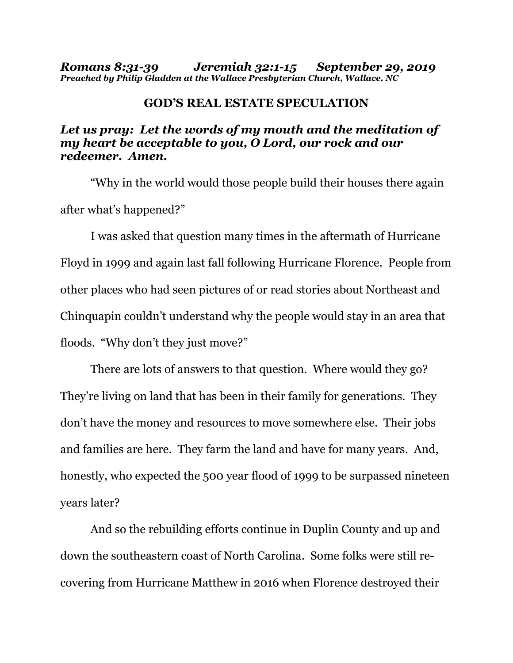*Romans 8:31-39 Jeremiah 32:1-15 September 29, 2019 Preached by Philip Gladden at the Wallace Presbyterian Church, Wallace, NC*

## **GOD'S REAL ESTATE SPECULATION**

## *Let us pray: Let the words of my mouth and the meditation of my heart be acceptable to you, O Lord, our rock and our redeemer. Amen.*

"Why in the world would those people build their houses there again after what's happened?"

I was asked that question many times in the aftermath of Hurricane Floyd in 1999 and again last fall following Hurricane Florence. People from other places who had seen pictures of or read stories about Northeast and Chinquapin couldn't understand why the people would stay in an area that floods. "Why don't they just move?"

There are lots of answers to that question. Where would they go? They're living on land that has been in their family for generations. They don't have the money and resources to move somewhere else. Their jobs and families are here. They farm the land and have for many years. And, honestly, who expected the 500 year flood of 1999 to be surpassed nineteen years later?

And so the rebuilding efforts continue in Duplin County and up and down the southeastern coast of North Carolina. Some folks were still recovering from Hurricane Matthew in 2016 when Florence destroyed their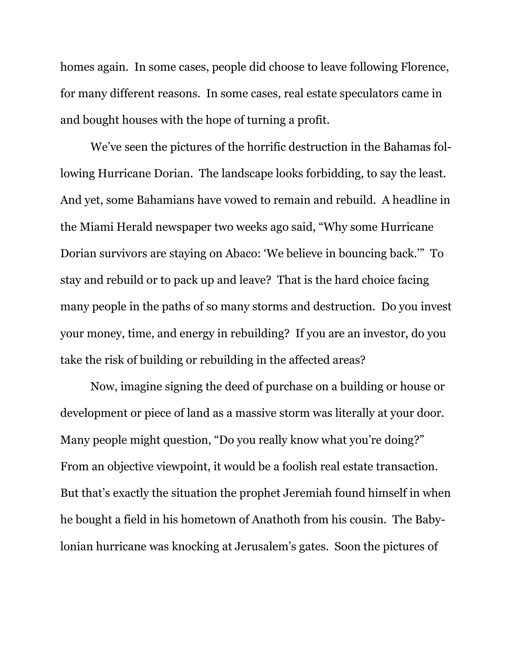homes again. In some cases, people did choose to leave following Florence, for many different reasons. In some cases, real estate speculators came in and bought houses with the hope of turning a profit.

We've seen the pictures of the horrific destruction in the Bahamas following Hurricane Dorian. The landscape looks forbidding, to say the least. And yet, some Bahamians have vowed to remain and rebuild. A headline in the Miami Herald newspaper two weeks ago said, "Why some Hurricane Dorian survivors are staying on Abaco: 'We believe in bouncing back.'" To stay and rebuild or to pack up and leave? That is the hard choice facing many people in the paths of so many storms and destruction. Do you invest your money, time, and energy in rebuilding? If you are an investor, do you take the risk of building or rebuilding in the affected areas?

Now, imagine signing the deed of purchase on a building or house or development or piece of land as a massive storm was literally at your door. Many people might question, "Do you really know what you're doing?" From an objective viewpoint, it would be a foolish real estate transaction. But that's exactly the situation the prophet Jeremiah found himself in when he bought a field in his hometown of Anathoth from his cousin. The Babylonian hurricane was knocking at Jerusalem's gates. Soon the pictures of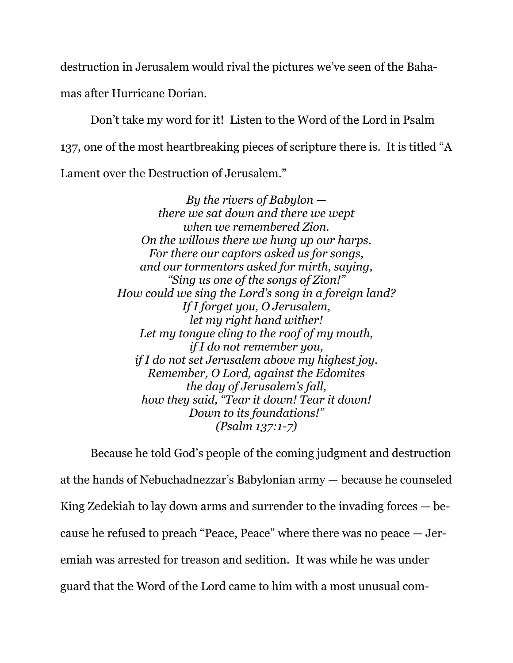destruction in Jerusalem would rival the pictures we've seen of the Bahamas after Hurricane Dorian.

Don't take my word for it! Listen to the Word of the Lord in Psalm 137, one of the most heartbreaking pieces of scripture there is. It is titled "A Lament over the Destruction of Jerusalem."

> *By the rivers of Babylon there we sat down and there we wept when we remembered Zion. On the willows there we hung up our harps. For there our captors asked us for songs, and our tormentors asked for mirth, saying, "Sing us one of the songs of Zion!" How could we sing the Lord's song in a foreign land? If I forget you, O Jerusalem, let my right hand wither! Let my tongue cling to the roof of my mouth, if I do not remember you, if I do not set Jerusalem above my highest joy. Remember, O Lord, against the Edomites the day of Jerusalem's fall, how they said, "Tear it down! Tear it down! Down to its foundations!" (Psalm 137:1-7)*

Because he told God's people of the coming judgment and destruction at the hands of Nebuchadnezzar's Babylonian army — because he counseled King Zedekiah to lay down arms and surrender to the invading forces — because he refused to preach "Peace, Peace" where there was no peace — Jeremiah was arrested for treason and sedition. It was while he was under guard that the Word of the Lord came to him with a most unusual com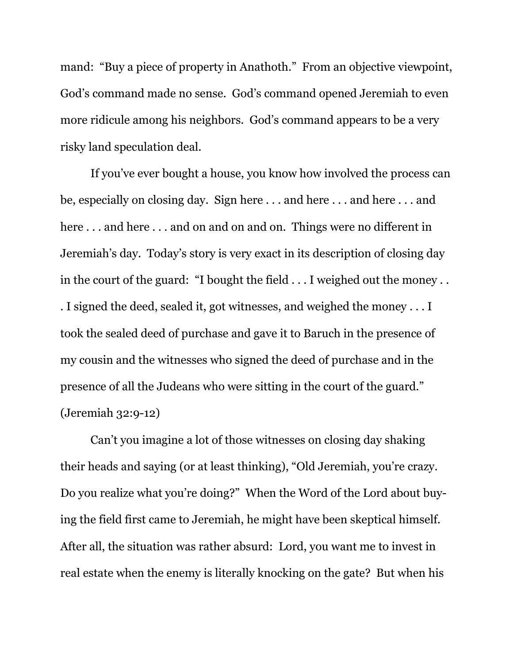mand: "Buy a piece of property in Anathoth." From an objective viewpoint, God's command made no sense. God's command opened Jeremiah to even more ridicule among his neighbors. God's command appears to be a very risky land speculation deal.

If you've ever bought a house, you know how involved the process can be, especially on closing day. Sign here . . . and here . . . and here . . . and here . . . and here . . . and on and on and on. Things were no different in Jeremiah's day. Today's story is very exact in its description of closing day in the court of the guard: "I bought the field . . . I weighed out the money . . . I signed the deed, sealed it, got witnesses, and weighed the money . . . I took the sealed deed of purchase and gave it to Baruch in the presence of my cousin and the witnesses who signed the deed of purchase and in the presence of all the Judeans who were sitting in the court of the guard." (Jeremiah 32:9-12)

Can't you imagine a lot of those witnesses on closing day shaking their heads and saying (or at least thinking), "Old Jeremiah, you're crazy. Do you realize what you're doing?" When the Word of the Lord about buying the field first came to Jeremiah, he might have been skeptical himself. After all, the situation was rather absurd: Lord, you want me to invest in real estate when the enemy is literally knocking on the gate? But when his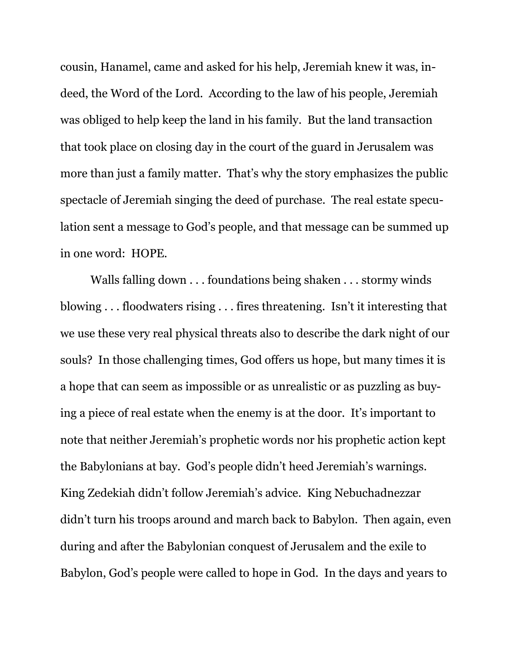cousin, Hanamel, came and asked for his help, Jeremiah knew it was, indeed, the Word of the Lord. According to the law of his people, Jeremiah was obliged to help keep the land in his family. But the land transaction that took place on closing day in the court of the guard in Jerusalem was more than just a family matter. That's why the story emphasizes the public spectacle of Jeremiah singing the deed of purchase. The real estate speculation sent a message to God's people, and that message can be summed up in one word: HOPE.

Walls falling down . . . foundations being shaken . . . stormy winds blowing . . . floodwaters rising . . . fires threatening. Isn't it interesting that we use these very real physical threats also to describe the dark night of our souls? In those challenging times, God offers us hope, but many times it is a hope that can seem as impossible or as unrealistic or as puzzling as buying a piece of real estate when the enemy is at the door. It's important to note that neither Jeremiah's prophetic words nor his prophetic action kept the Babylonians at bay. God's people didn't heed Jeremiah's warnings. King Zedekiah didn't follow Jeremiah's advice. King Nebuchadnezzar didn't turn his troops around and march back to Babylon. Then again, even during and after the Babylonian conquest of Jerusalem and the exile to Babylon, God's people were called to hope in God. In the days and years to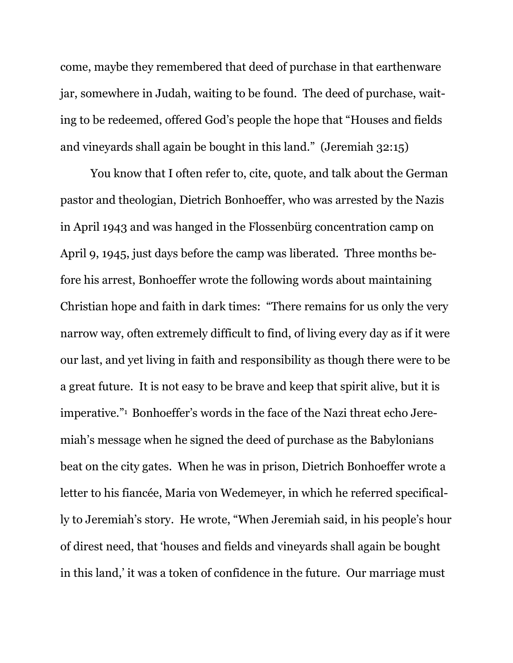come, maybe they remembered that deed of purchase in that earthenware jar, somewhere in Judah, waiting to be found. The deed of purchase, waiting to be redeemed, offered God's people the hope that "Houses and fields and vineyards shall again be bought in this land." (Jeremiah 32:15)

You know that I often refer to, cite, quote, and talk about the German pastor and theologian, Dietrich Bonhoeffer, who was arrested by the Nazis in April 1943 and was hanged in the Flossenbürg concentration camp on April 9, 1945, just days before the camp was liberated. Three months before his arrest, Bonhoeffer wrote the following words about maintaining Christian hope and faith in dark times: "There remains for us only the very narrow way, often extremely difficult to find, of living every day as if it were our last, and yet living in faith and responsibility as though there were to be a great future. It is not easy to be brave and keep that spirit alive, but it is imperative."<sup>1</sup> Bonhoeffer's words in the face of the Nazi threat echo Jeremiah's message when he signed the deed of purchase as the Babylonians beat on the city gates. When he was in prison, Dietrich Bonhoeffer wrote a letter to his fiancée, Maria von Wedemeyer, in which he referred specifically to Jeremiah's story. He wrote, "When Jeremiah said, in his people's hour of direst need, that 'houses and fields and vineyards shall again be bought in this land,' it was a token of confidence in the future. Our marriage must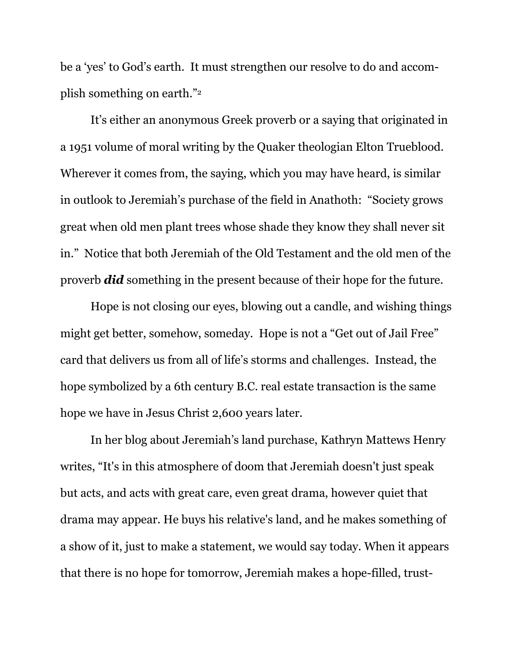be a 'yes' to God's earth. It must strengthen our resolve to do and accomplish something on earth."<sup>2</sup>

It's either an anonymous Greek proverb or a saying that originated in a 1951 volume of moral writing by the Quaker theologian Elton Trueblood. Wherever it comes from, the saying, which you may have heard, is similar in outlook to Jeremiah's purchase of the field in Anathoth: "Society grows great when old men plant trees whose shade they know they shall never sit in." Notice that both Jeremiah of the Old Testament and the old men of the proverb *did* something in the present because of their hope for the future.

Hope is not closing our eyes, blowing out a candle, and wishing things might get better, somehow, someday. Hope is not a "Get out of Jail Free" card that delivers us from all of life's storms and challenges. Instead, the hope symbolized by a 6th century B.C. real estate transaction is the same hope we have in Jesus Christ 2,600 years later.

In her blog about Jeremiah's land purchase, Kathryn Mattews Henry writes, "It's in this atmosphere of doom that Jeremiah doesn't just speak but acts, and acts with great care, even great drama, however quiet that drama may appear. He buys his relative's land, and he makes something of a show of it, just to make a statement, we would say today. When it appears that there is no hope for tomorrow, Jeremiah makes a hope-filled, trust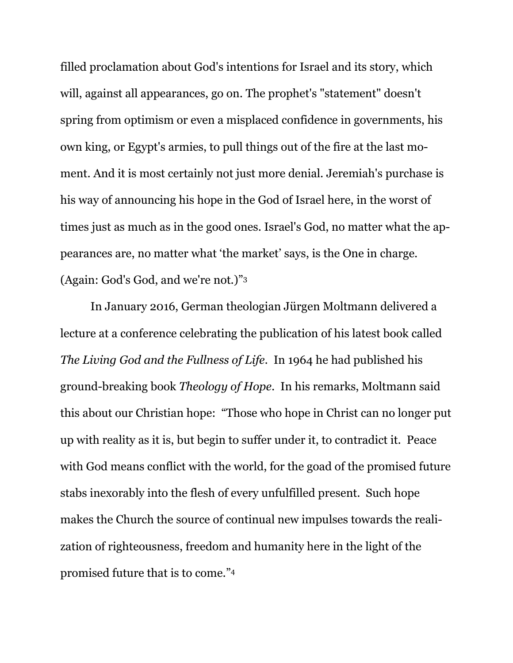filled proclamation about God's intentions for Israel and its story, which will, against all appearances, go on. The prophet's "statement" doesn't spring from optimism or even a misplaced confidence in governments, his own king, or Egypt's armies, to pull things out of the fire at the last moment. And it is most certainly not just more denial. Jeremiah's purchase is his way of announcing his hope in the God of Israel here, in the worst of times just as much as in the good ones. Israel's God, no matter what the appearances are, no matter what 'the market' says, is the One in charge. (Again: God's God, and we're not.)" 3

In January 2016, German theologian Jürgen Moltmann delivered a lecture at a conference celebrating the publication of his latest book called *The Living God and the Fullness of Life.* In 1964 he had published his ground-breaking book *Theology of Hope*. In his remarks, Moltmann said this about our Christian hope: "Those who hope in Christ can no longer put up with reality as it is, but begin to suffer under it, to contradict it. Peace with God means conflict with the world, for the goad of the promised future stabs inexorably into the flesh of every unfulfilled present. Such hope makes the Church the source of continual new impulses towards the realization of righteousness, freedom and humanity here in the light of the promised future that is to come." 4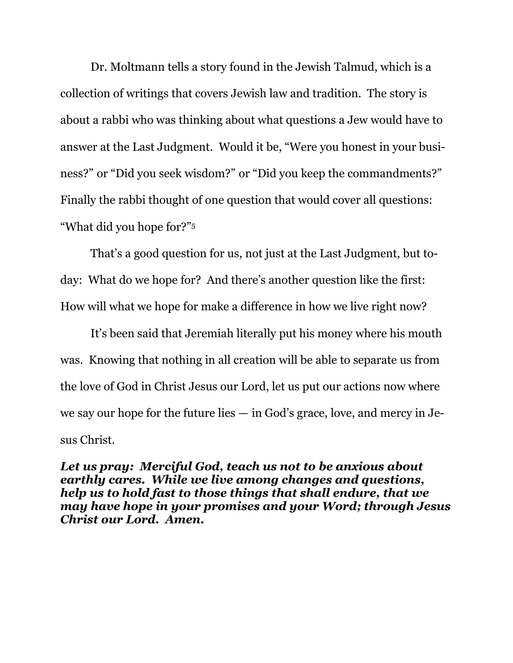Dr. Moltmann tells a story found in the Jewish Talmud, which is a collection of writings that covers Jewish law and tradition. The story is about a rabbi who was thinking about what questions a Jew would have to answer at the Last Judgment. Would it be, "Were you honest in your business?" or "Did you seek wisdom?" or "Did you keep the commandments?" Finally the rabbi thought of one question that would cover all questions: "What did you hope for?" 5

That's a good question for us, not just at the Last Judgment, but today: What do we hope for? And there's another question like the first: How will what we hope for make a difference in how we live right now?

It's been said that Jeremiah literally put his money where his mouth was. Knowing that nothing in all creation will be able to separate us from the love of God in Christ Jesus our Lord, let us put our actions now where we say our hope for the future lies — in God's grace, love, and mercy in Jesus Christ.

*Let us pray: Merciful God, teach us not to be anxious about earthly cares. While we live among changes and questions, help us to hold fast to those things that shall endure, that we may have hope in your promises and your Word; through Jesus Christ our Lord. Amen.*